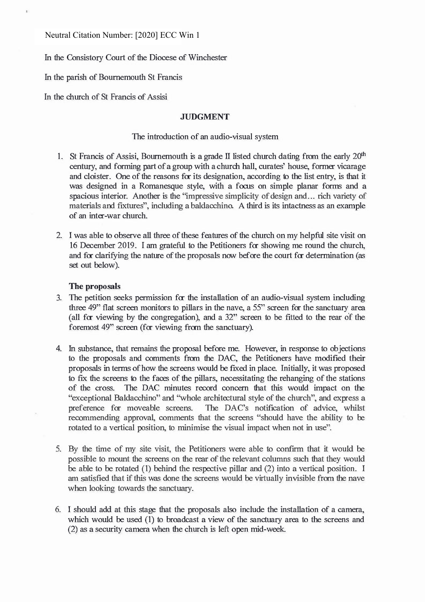Neutral Citation Number: [2020] ECC Win 1

In the Consistory Court of the Diocese of Winchester

In the parish of Bournemouth St Francis

In the church of St Francis of Assisi

## **JUDGMENT**

The introduction of an audio-visual system

- 1. St Francis of Assisi, Bournemouth is a grade II listed church dating from the early  $20<sup>th</sup>$ century, and forming part of a group with a church hall, curates' house, former vicarage and cloister. One of the reasons for its designation, according to the list entry, is that it was designed in a Romanesque style, with a focus on simple planar forms and a spacious interior. Another is the "impressive simplicity of design and ... rich variety of materials and fixtures", including a baldacchino. A third is its intactness as an example of an inter-war church.
- 2. I was able to observe all three of these features of the church on my helpful site visit on 16 December 2019. I am grateful to the Petitioners for showing me round the church, and for clarifying the nature of the proposals now before the court for determination (as set out below).

## **The proposals**

- 3. The petition seeks permission for the installation of an audio-visual system including three 49" flat screen monitors to pillars in the nave, a 55" screen for the sanctuary area (all for viewing by the congregation), and a 32" screen to be fitted to the rear of the foremost 49" screen (for viewing from the sanctuary).
- 4. In substance, that remains the proposal before me. However, in response to objections to the proposals and comments from the DAC, the Petitioners have modified their proposals in terms of how the screens would be fixed in place. Initially, it was proposed to fix the screens to the faces of the pillars, necessitating the rehanging of the stations of the cross. The DAC minutes record concern that this would impact on the "exceptional Baldacchino" and "whole architectural style of the church", and express a preference for moveable screens. The DAC's notification of advice, whilst recommending approval, comments that the screens "should have the ability to be rotated to a vertical position, to minimise the visual impact when not in use".
- 5. By the time of my site visit, the Petitioners were able to confirm that it would be possible to mount the screens on the rear of the relevant columns such that they would be able to be rotated (1) behind the respective pillar and (2) into a vertical position. I am satisfied that if this was done the screens would be virtually invisible from the nave when looking towards the sanctuary.
- 6. I should add at this stage that the proposals also include the installation of a camera, which would be used (1) to broadcast a view of the sanctuary area to the screens and (2) as a security camera when the church is left open mid-week.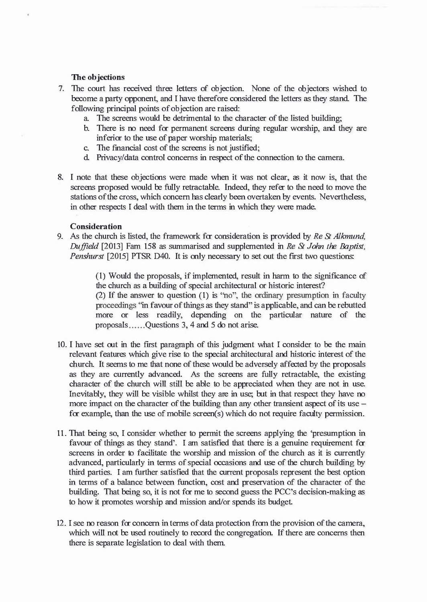## **The objections**

- 7. The court has received three letters of objection. None of the objectors wished to become a party opponent, and I have therefore considered the letters as they stand. The following principal points of objection are raised:
	- a. The screens would be detrimental to the character of the listed building;
	- b. There is no need for permanent screens during regular worship, and they are inferior to the use of paper worship materials;
	- c. The financial cost of the screens is not justified;
	- d. Privacy/data control concerns in respect of the connection to the camera.
- 8. I note that these objections were made when it was not clear, as it now is, that the screens proposed would be fully retractable. Indeed, they refer to the need to move the stations of the cross, which concern has clearly been overtaken by events. Nevertheless, in other respects I deal with them in the terms in which they were made.

## **Consideration**

9. As the church is listed, the framework for consideration is provided by *Re St Alkmund, Duffield* [2013] Fam 158 as summarised and supplemented in *Re St John the Baptist, Penshurst* [2015] PTSR D40. It is only necessary to set out the first two questions:

> (1) Would the proposals, if implemented, result in harm to the significance of the church as a building of special architectural or historic interest?

> (2) If the answer to question (1) is "no", the ordinary presumption in faculty proceedings "in favour of things as they stand" is applicable, and can be rebutted more or less readily, depending on the particular nature of the proposals ...... Questions 3, 4 and 5 do not arise.

- 10. I have set out in the first paragraph of this judgment what I consider to be the main relevant features which give rise to the special architectural and historic interest of the church. It seems to me that none of these would be adversely affected by the proposals as they are currently advanced. As the screens are fully retractable, the existing character of the church will still be able to be appreciated when they are not in use. Inevitably, they will be visible whilst they are in use; but in that respect they have no more impact on the character of the building than any other transient aspect of its use  $$ for example, than the use of mobile screen(s) which do not require faculty permission.
- 11. That being so, I consider whether to permit the screens applying the 'presumption in favour of things as they stand'. I am satisfied that there is a genuine requirement for screens in order to facilitate the worship and mission of the church as it is currently advanced, particularly in terms of special occasions and use of the church building by third parties. I am further satisfied that the current proposals represent the best option in terms of a balance between function, cost and preservation of the character of the building. That being so, it is not for me to second guess the PCC's decision-making as to how it promotes worship and mission and/or spends its budget.
- 12. I see no reason for concern in terms of data protection from the provision of the camera, which will not be used routinely to record the congregation. If there are concerns then there is separate legislation to deal with them.